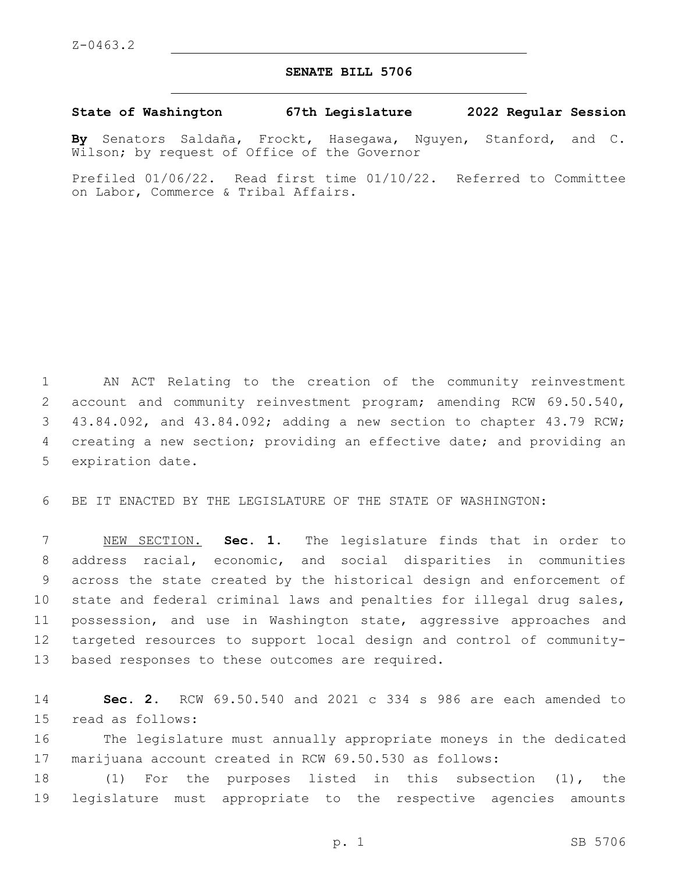## **SENATE BILL 5706**

**State of Washington 67th Legislature 2022 Regular Session**

**By** Senators Saldaña, Frockt, Hasegawa, Nguyen, Stanford, and C. Wilson; by request of Office of the Governor

Prefiled 01/06/22. Read first time 01/10/22. Referred to Committee on Labor, Commerce & Tribal Affairs.

 AN ACT Relating to the creation of the community reinvestment account and community reinvestment program; amending RCW 69.50.540, 43.84.092, and 43.84.092; adding a new section to chapter 43.79 RCW; creating a new section; providing an effective date; and providing an 5 expiration date.

BE IT ENACTED BY THE LEGISLATURE OF THE STATE OF WASHINGTON:

 NEW SECTION. **Sec. 1.** The legislature finds that in order to address racial, economic, and social disparities in communities across the state created by the historical design and enforcement of state and federal criminal laws and penalties for illegal drug sales, possession, and use in Washington state, aggressive approaches and targeted resources to support local design and control of community-based responses to these outcomes are required.

 **Sec. 2.** RCW 69.50.540 and 2021 c 334 s 986 are each amended to 15 read as follows:

 The legislature must annually appropriate moneys in the dedicated marijuana account created in RCW 69.50.530 as follows:

 (1) For the purposes listed in this subsection (1), the legislature must appropriate to the respective agencies amounts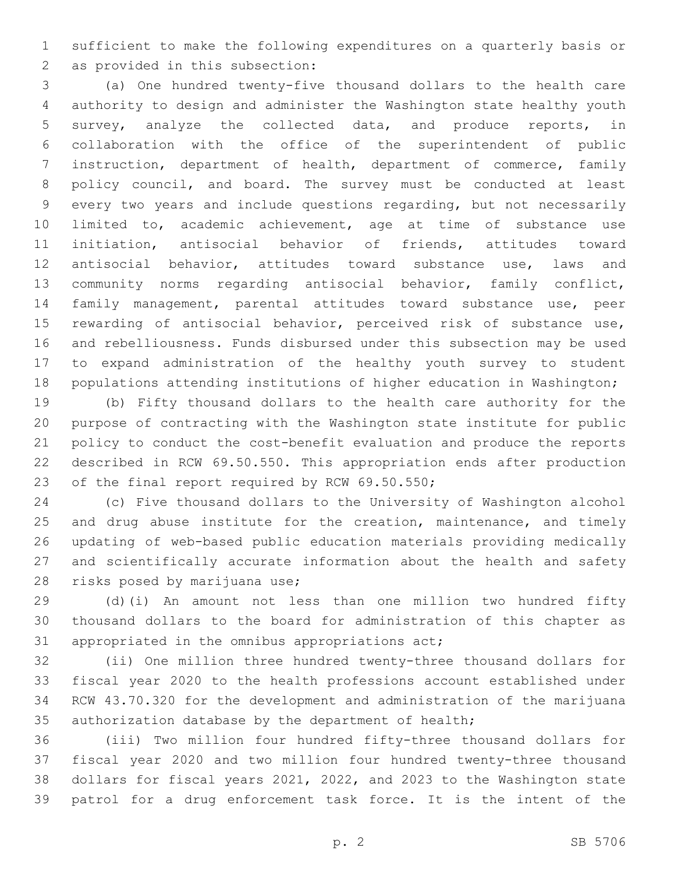sufficient to make the following expenditures on a quarterly basis or 2 as provided in this subsection:

 (a) One hundred twenty-five thousand dollars to the health care authority to design and administer the Washington state healthy youth survey, analyze the collected data, and produce reports, in collaboration with the office of the superintendent of public instruction, department of health, department of commerce, family policy council, and board. The survey must be conducted at least every two years and include questions regarding, but not necessarily limited to, academic achievement, age at time of substance use initiation, antisocial behavior of friends, attitudes toward antisocial behavior, attitudes toward substance use, laws and community norms regarding antisocial behavior, family conflict, family management, parental attitudes toward substance use, peer rewarding of antisocial behavior, perceived risk of substance use, and rebelliousness. Funds disbursed under this subsection may be used to expand administration of the healthy youth survey to student populations attending institutions of higher education in Washington;

 (b) Fifty thousand dollars to the health care authority for the purpose of contracting with the Washington state institute for public policy to conduct the cost-benefit evaluation and produce the reports described in RCW 69.50.550. This appropriation ends after production 23 of the final report required by RCW 69.50.550;

 (c) Five thousand dollars to the University of Washington alcohol 25 and drug abuse institute for the creation, maintenance, and timely updating of web-based public education materials providing medically and scientifically accurate information about the health and safety 28 risks posed by marijuana use;

 (d)(i) An amount not less than one million two hundred fifty thousand dollars to the board for administration of this chapter as 31 appropriated in the omnibus appropriations act;

 (ii) One million three hundred twenty-three thousand dollars for fiscal year 2020 to the health professions account established under RCW 43.70.320 for the development and administration of the marijuana authorization database by the department of health;

 (iii) Two million four hundred fifty-three thousand dollars for fiscal year 2020 and two million four hundred twenty-three thousand dollars for fiscal years 2021, 2022, and 2023 to the Washington state patrol for a drug enforcement task force. It is the intent of the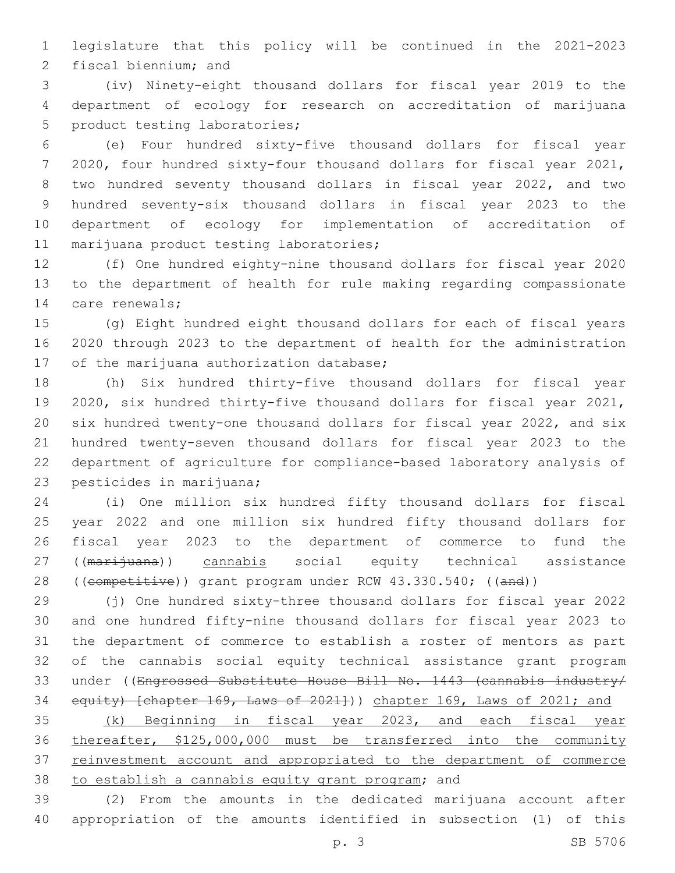legislature that this policy will be continued in the 2021-2023 2 fiscal biennium; and

 (iv) Ninety-eight thousand dollars for fiscal year 2019 to the department of ecology for research on accreditation of marijuana 5 product testing laboratories;

 (e) Four hundred sixty-five thousand dollars for fiscal year 2020, four hundred sixty-four thousand dollars for fiscal year 2021, two hundred seventy thousand dollars in fiscal year 2022, and two hundred seventy-six thousand dollars in fiscal year 2023 to the department of ecology for implementation of accreditation of 11 marijuana product testing laboratories;

 (f) One hundred eighty-nine thousand dollars for fiscal year 2020 to the department of health for rule making regarding compassionate 14 care renewals;

 (g) Eight hundred eight thousand dollars for each of fiscal years 2020 through 2023 to the department of health for the administration 17 of the marijuana authorization database;

 (h) Six hundred thirty-five thousand dollars for fiscal year 2020, six hundred thirty-five thousand dollars for fiscal year 2021, six hundred twenty-one thousand dollars for fiscal year 2022, and six hundred twenty-seven thousand dollars for fiscal year 2023 to the department of agriculture for compliance-based laboratory analysis of 23 pesticides in marijuana;

 (i) One million six hundred fifty thousand dollars for fiscal year 2022 and one million six hundred fifty thousand dollars for fiscal year 2023 to the department of commerce to fund the 27 ((marijuana)) cannabis social equity technical assistance 28 ((competitive)) grant program under RCW 43.330.540; ((and))

 (j) One hundred sixty-three thousand dollars for fiscal year 2022 and one hundred fifty-nine thousand dollars for fiscal year 2023 to the department of commerce to establish a roster of mentors as part of the cannabis social equity technical assistance grant program 33 under ((Engrossed Substitute House Bill No. 1443 (cannabis industry/ 34 equity) [chapter 169, Laws of 2021])) chapter 169, Laws of 2021; and

 (k) Beginning in fiscal year 2023, and each fiscal year thereafter, \$125,000,000 must be transferred into the community reinvestment account and appropriated to the department of commerce 38 to establish a cannabis equity grant program; and

 (2) From the amounts in the dedicated marijuana account after appropriation of the amounts identified in subsection (1) of this

p. 3 SB 5706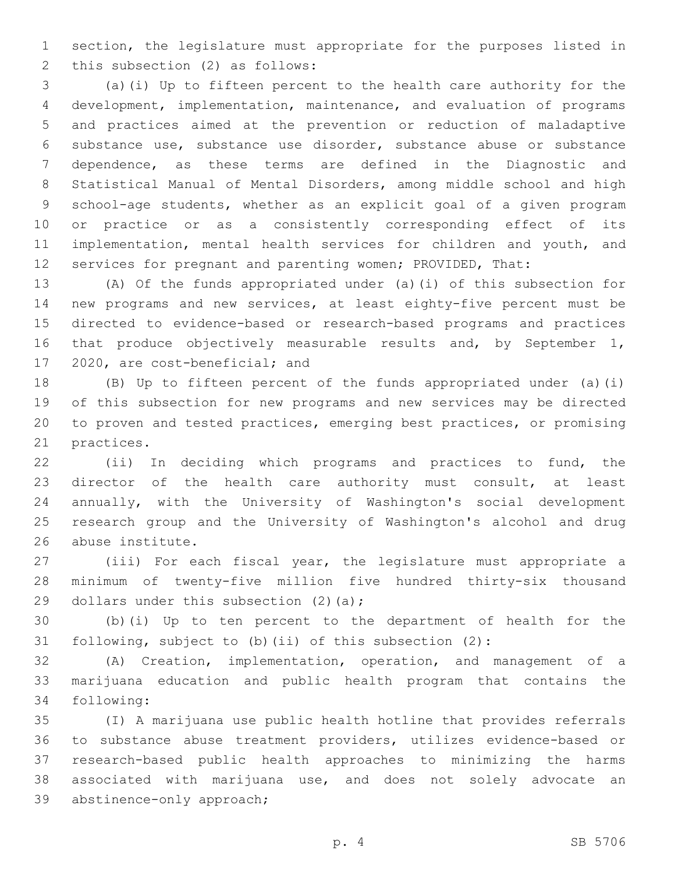section, the legislature must appropriate for the purposes listed in 2 this subsection (2) as follows:

 (a)(i) Up to fifteen percent to the health care authority for the development, implementation, maintenance, and evaluation of programs and practices aimed at the prevention or reduction of maladaptive substance use, substance use disorder, substance abuse or substance dependence, as these terms are defined in the Diagnostic and Statistical Manual of Mental Disorders, among middle school and high school-age students, whether as an explicit goal of a given program or practice or as a consistently corresponding effect of its 11 implementation, mental health services for children and youth, and services for pregnant and parenting women; PROVIDED, That:

 (A) Of the funds appropriated under (a)(i) of this subsection for new programs and new services, at least eighty-five percent must be directed to evidence-based or research-based programs and practices 16 that produce objectively measurable results and, by September 1, 17 2020, are cost-beneficial; and

 (B) Up to fifteen percent of the funds appropriated under (a)(i) of this subsection for new programs and new services may be directed to proven and tested practices, emerging best practices, or promising 21 practices.

 (ii) In deciding which programs and practices to fund, the director of the health care authority must consult, at least annually, with the University of Washington's social development research group and the University of Washington's alcohol and drug 26 abuse institute.

 (iii) For each fiscal year, the legislature must appropriate a minimum of twenty-five million five hundred thirty-six thousand 29 dollars under this subsection  $(2)$  (a);

 (b)(i) Up to ten percent to the department of health for the following, subject to (b)(ii) of this subsection (2):

 (A) Creation, implementation, operation, and management of a marijuana education and public health program that contains the 34 following:

 (I) A marijuana use public health hotline that provides referrals to substance abuse treatment providers, utilizes evidence-based or research-based public health approaches to minimizing the harms associated with marijuana use, and does not solely advocate an 39 abstinence-only approach;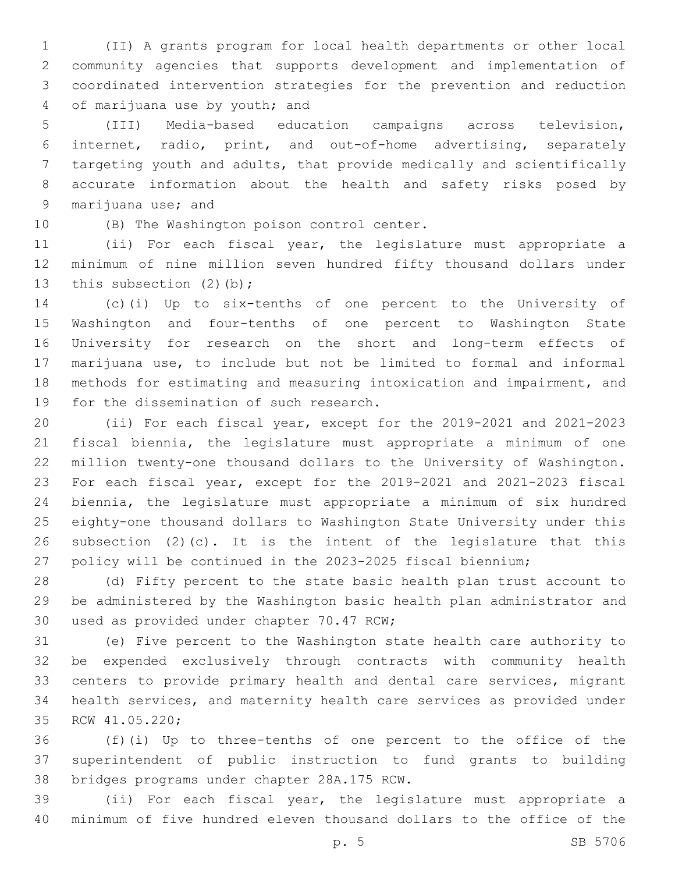(II) A grants program for local health departments or other local community agencies that supports development and implementation of coordinated intervention strategies for the prevention and reduction 4 of marijuana use by youth; and

 (III) Media-based education campaigns across television, internet, radio, print, and out-of-home advertising, separately targeting youth and adults, that provide medically and scientifically accurate information about the health and safety risks posed by 9 marijuana use; and

10 (B) The Washington poison control center.

 (ii) For each fiscal year, the legislature must appropriate a minimum of nine million seven hundred fifty thousand dollars under 13 this subsection (2)(b);

 (c)(i) Up to six-tenths of one percent to the University of Washington and four-tenths of one percent to Washington State University for research on the short and long-term effects of marijuana use, to include but not be limited to formal and informal methods for estimating and measuring intoxication and impairment, and 19 for the dissemination of such research.

 (ii) For each fiscal year, except for the 2019-2021 and 2021-2023 fiscal biennia, the legislature must appropriate a minimum of one million twenty-one thousand dollars to the University of Washington. For each fiscal year, except for the 2019-2021 and 2021-2023 fiscal biennia, the legislature must appropriate a minimum of six hundred eighty-one thousand dollars to Washington State University under this subsection (2)(c). It is the intent of the legislature that this policy will be continued in the 2023-2025 fiscal biennium;

 (d) Fifty percent to the state basic health plan trust account to be administered by the Washington basic health plan administrator and 30 used as provided under chapter 70.47 RCW;

 (e) Five percent to the Washington state health care authority to be expended exclusively through contracts with community health centers to provide primary health and dental care services, migrant health services, and maternity health care services as provided under 35 RCW 41.05.220;

 (f)(i) Up to three-tenths of one percent to the office of the superintendent of public instruction to fund grants to building 38 bridges programs under chapter 28A.175 RCW.

 (ii) For each fiscal year, the legislature must appropriate a minimum of five hundred eleven thousand dollars to the office of the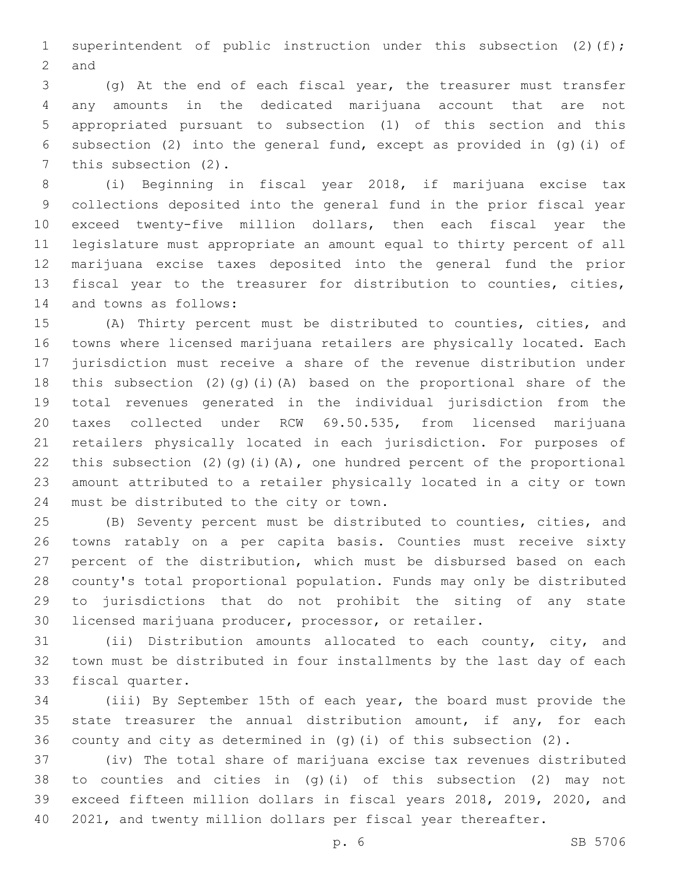1 superintendent of public instruction under this subsection (2)(f); 2 and

 (g) At the end of each fiscal year, the treasurer must transfer any amounts in the dedicated marijuana account that are not appropriated pursuant to subsection (1) of this section and this subsection (2) into the general fund, except as provided in (g)(i) of 7 this subsection (2).

 (i) Beginning in fiscal year 2018, if marijuana excise tax collections deposited into the general fund in the prior fiscal year exceed twenty-five million dollars, then each fiscal year the legislature must appropriate an amount equal to thirty percent of all marijuana excise taxes deposited into the general fund the prior fiscal year to the treasurer for distribution to counties, cities, 14 and towns as follows:

 (A) Thirty percent must be distributed to counties, cities, and towns where licensed marijuana retailers are physically located. Each jurisdiction must receive a share of the revenue distribution under this subsection (2)(g)(i)(A) based on the proportional share of the total revenues generated in the individual jurisdiction from the taxes collected under RCW 69.50.535, from licensed marijuana retailers physically located in each jurisdiction. For purposes of 22 this subsection  $(2)$   $(q)$   $(i)$   $(A)$ , one hundred percent of the proportional amount attributed to a retailer physically located in a city or town 24 must be distributed to the city or town.

 (B) Seventy percent must be distributed to counties, cities, and towns ratably on a per capita basis. Counties must receive sixty percent of the distribution, which must be disbursed based on each county's total proportional population. Funds may only be distributed to jurisdictions that do not prohibit the siting of any state licensed marijuana producer, processor, or retailer.

 (ii) Distribution amounts allocated to each county, city, and town must be distributed in four installments by the last day of each 33 fiscal quarter.

 (iii) By September 15th of each year, the board must provide the 35 state treasurer the annual distribution amount, if any, for each county and city as determined in (g)(i) of this subsection (2).

 (iv) The total share of marijuana excise tax revenues distributed to counties and cities in (g)(i) of this subsection (2) may not exceed fifteen million dollars in fiscal years 2018, 2019, 2020, and 2021, and twenty million dollars per fiscal year thereafter.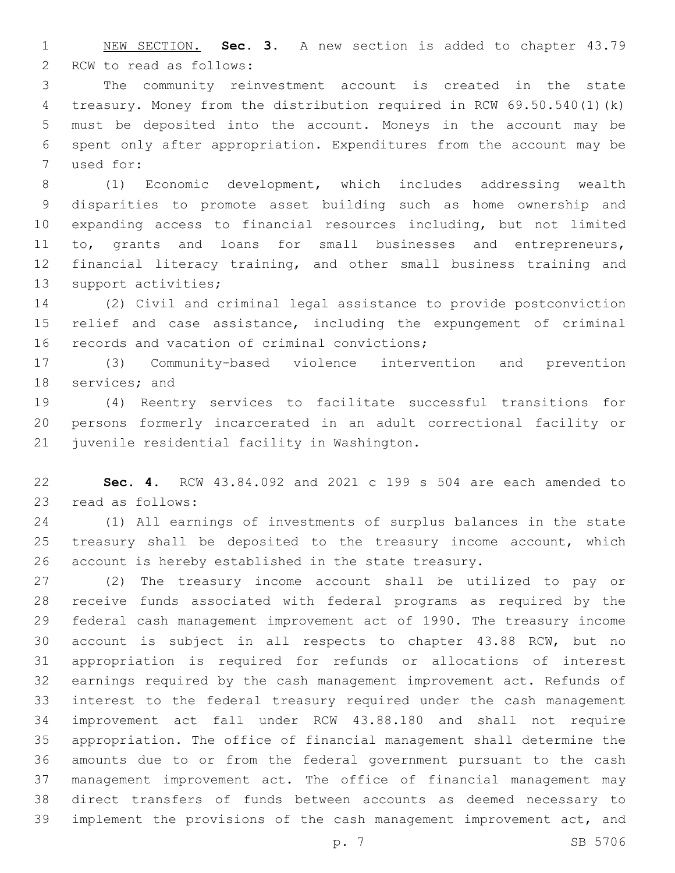NEW SECTION. **Sec. 3.** A new section is added to chapter 43.79 2 RCW to read as follows:

 The community reinvestment account is created in the state treasury. Money from the distribution required in RCW 69.50.540(1)(k) must be deposited into the account. Moneys in the account may be spent only after appropriation. Expenditures from the account may be 7 used for:

 (1) Economic development, which includes addressing wealth disparities to promote asset building such as home ownership and expanding access to financial resources including, but not limited to, grants and loans for small businesses and entrepreneurs, financial literacy training, and other small business training and 13 support activities;

 (2) Civil and criminal legal assistance to provide postconviction relief and case assistance, including the expungement of criminal 16 records and vacation of criminal convictions;

 (3) Community-based violence intervention and prevention 18 services; and

 (4) Reentry services to facilitate successful transitions for persons formerly incarcerated in an adult correctional facility or 21 juvenile residential facility in Washington.

 **Sec. 4.** RCW 43.84.092 and 2021 c 199 s 504 are each amended to 23 read as follows:

 (1) All earnings of investments of surplus balances in the state treasury shall be deposited to the treasury income account, which account is hereby established in the state treasury.

 (2) The treasury income account shall be utilized to pay or receive funds associated with federal programs as required by the federal cash management improvement act of 1990. The treasury income account is subject in all respects to chapter 43.88 RCW, but no appropriation is required for refunds or allocations of interest earnings required by the cash management improvement act. Refunds of interest to the federal treasury required under the cash management improvement act fall under RCW 43.88.180 and shall not require appropriation. The office of financial management shall determine the amounts due to or from the federal government pursuant to the cash management improvement act. The office of financial management may direct transfers of funds between accounts as deemed necessary to implement the provisions of the cash management improvement act, and

p. 7 SB 5706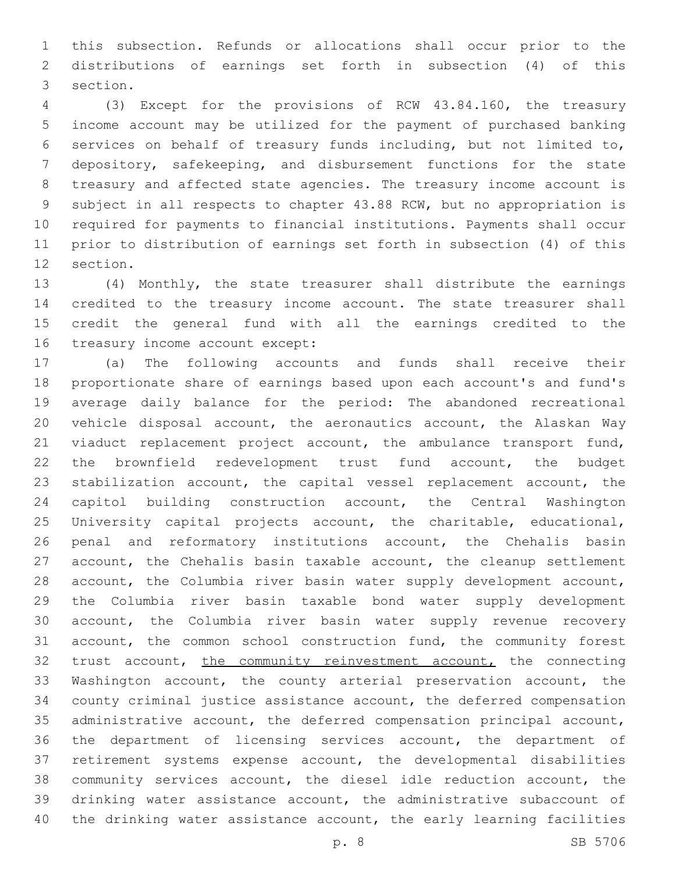this subsection. Refunds or allocations shall occur prior to the distributions of earnings set forth in subsection (4) of this 3 section.

 (3) Except for the provisions of RCW 43.84.160, the treasury income account may be utilized for the payment of purchased banking services on behalf of treasury funds including, but not limited to, depository, safekeeping, and disbursement functions for the state treasury and affected state agencies. The treasury income account is subject in all respects to chapter 43.88 RCW, but no appropriation is required for payments to financial institutions. Payments shall occur prior to distribution of earnings set forth in subsection (4) of this 12 section.

 (4) Monthly, the state treasurer shall distribute the earnings credited to the treasury income account. The state treasurer shall credit the general fund with all the earnings credited to the 16 treasury income account except:

 (a) The following accounts and funds shall receive their proportionate share of earnings based upon each account's and fund's average daily balance for the period: The abandoned recreational vehicle disposal account, the aeronautics account, the Alaskan Way 21 viaduct replacement project account, the ambulance transport fund, the brownfield redevelopment trust fund account, the budget stabilization account, the capital vessel replacement account, the capitol building construction account, the Central Washington University capital projects account, the charitable, educational, penal and reformatory institutions account, the Chehalis basin account, the Chehalis basin taxable account, the cleanup settlement account, the Columbia river basin water supply development account, the Columbia river basin taxable bond water supply development account, the Columbia river basin water supply revenue recovery account, the common school construction fund, the community forest 32 trust account, the community reinvestment account, the connecting Washington account, the county arterial preservation account, the county criminal justice assistance account, the deferred compensation administrative account, the deferred compensation principal account, the department of licensing services account, the department of retirement systems expense account, the developmental disabilities community services account, the diesel idle reduction account, the drinking water assistance account, the administrative subaccount of the drinking water assistance account, the early learning facilities

p. 8 SB 5706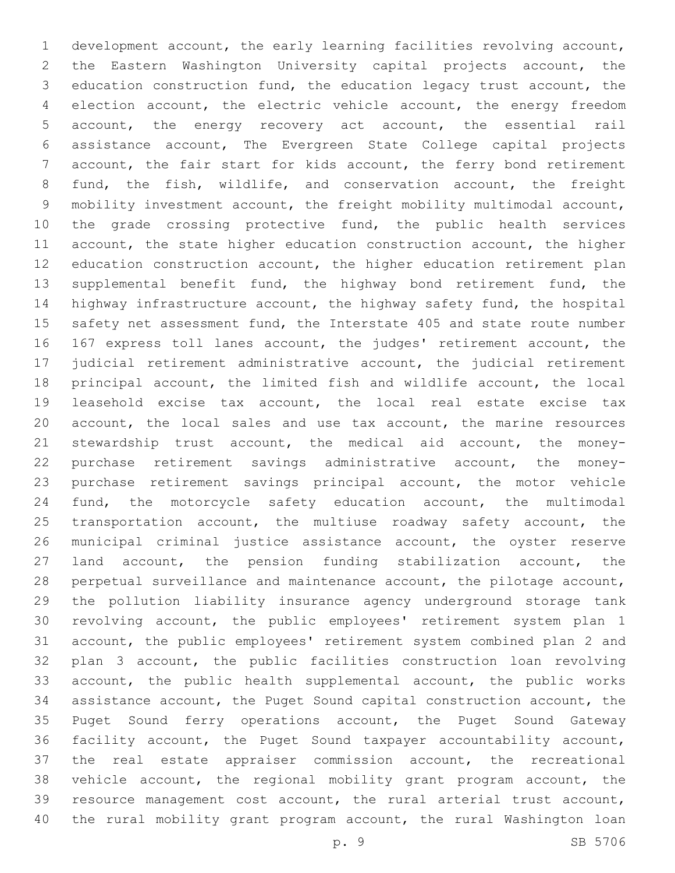development account, the early learning facilities revolving account, the Eastern Washington University capital projects account, the education construction fund, the education legacy trust account, the election account, the electric vehicle account, the energy freedom account, the energy recovery act account, the essential rail assistance account, The Evergreen State College capital projects account, the fair start for kids account, the ferry bond retirement fund, the fish, wildlife, and conservation account, the freight mobility investment account, the freight mobility multimodal account, the grade crossing protective fund, the public health services 11 account, the state higher education construction account, the higher education construction account, the higher education retirement plan supplemental benefit fund, the highway bond retirement fund, the highway infrastructure account, the highway safety fund, the hospital 15 safety net assessment fund, the Interstate 405 and state route number 167 express toll lanes account, the judges' retirement account, the judicial retirement administrative account, the judicial retirement principal account, the limited fish and wildlife account, the local leasehold excise tax account, the local real estate excise tax account, the local sales and use tax account, the marine resources stewardship trust account, the medical aid account, the money- purchase retirement savings administrative account, the money- purchase retirement savings principal account, the motor vehicle fund, the motorcycle safety education account, the multimodal 25 transportation account, the multiuse roadway safety account, the municipal criminal justice assistance account, the oyster reserve land account, the pension funding stabilization account, the perpetual surveillance and maintenance account, the pilotage account, the pollution liability insurance agency underground storage tank revolving account, the public employees' retirement system plan 1 account, the public employees' retirement system combined plan 2 and plan 3 account, the public facilities construction loan revolving account, the public health supplemental account, the public works assistance account, the Puget Sound capital construction account, the Puget Sound ferry operations account, the Puget Sound Gateway facility account, the Puget Sound taxpayer accountability account, the real estate appraiser commission account, the recreational vehicle account, the regional mobility grant program account, the resource management cost account, the rural arterial trust account, the rural mobility grant program account, the rural Washington loan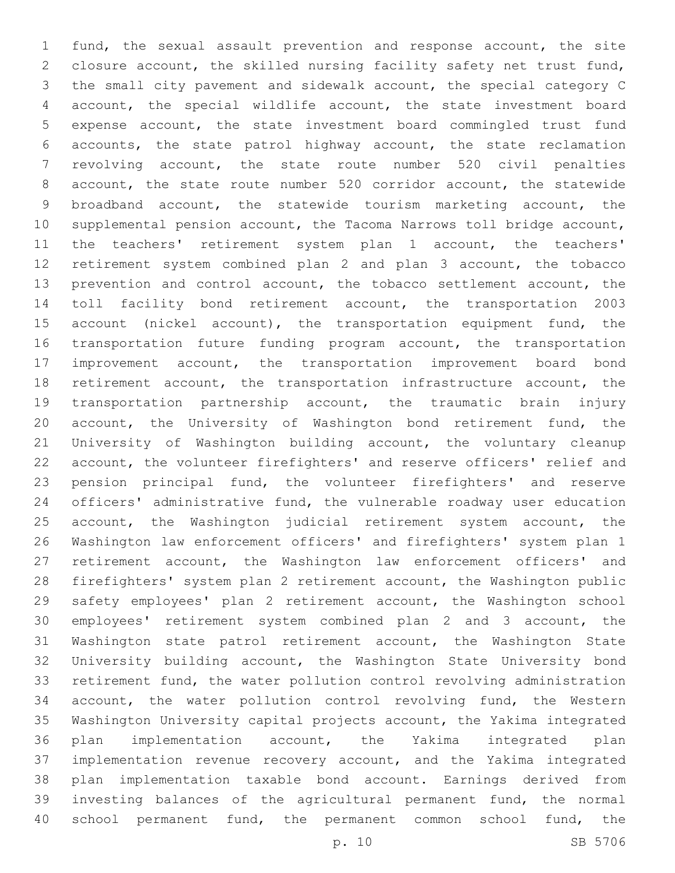fund, the sexual assault prevention and response account, the site closure account, the skilled nursing facility safety net trust fund, the small city pavement and sidewalk account, the special category C account, the special wildlife account, the state investment board expense account, the state investment board commingled trust fund accounts, the state patrol highway account, the state reclamation revolving account, the state route number 520 civil penalties account, the state route number 520 corridor account, the statewide broadband account, the statewide tourism marketing account, the supplemental pension account, the Tacoma Narrows toll bridge account, the teachers' retirement system plan 1 account, the teachers' retirement system combined plan 2 and plan 3 account, the tobacco prevention and control account, the tobacco settlement account, the toll facility bond retirement account, the transportation 2003 15 account (nickel account), the transportation equipment fund, the 16 transportation future funding program account, the transportation improvement account, the transportation improvement board bond 18 retirement account, the transportation infrastructure account, the transportation partnership account, the traumatic brain injury account, the University of Washington bond retirement fund, the University of Washington building account, the voluntary cleanup account, the volunteer firefighters' and reserve officers' relief and pension principal fund, the volunteer firefighters' and reserve officers' administrative fund, the vulnerable roadway user education 25 account, the Washington judicial retirement system account, the Washington law enforcement officers' and firefighters' system plan 1 retirement account, the Washington law enforcement officers' and firefighters' system plan 2 retirement account, the Washington public safety employees' plan 2 retirement account, the Washington school employees' retirement system combined plan 2 and 3 account, the Washington state patrol retirement account, the Washington State University building account, the Washington State University bond retirement fund, the water pollution control revolving administration account, the water pollution control revolving fund, the Western Washington University capital projects account, the Yakima integrated plan implementation account, the Yakima integrated plan implementation revenue recovery account, and the Yakima integrated plan implementation taxable bond account. Earnings derived from investing balances of the agricultural permanent fund, the normal school permanent fund, the permanent common school fund, the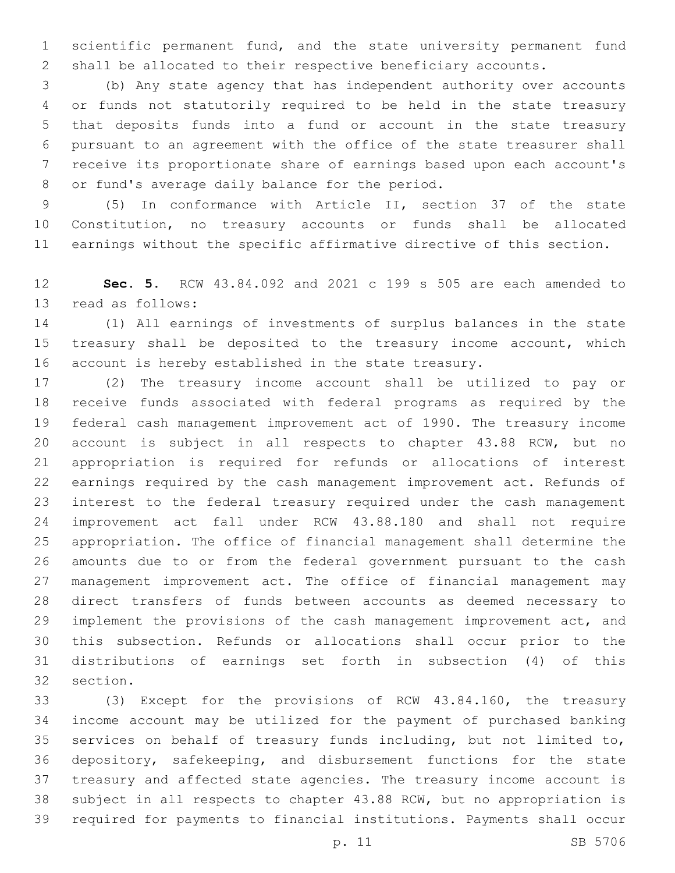scientific permanent fund, and the state university permanent fund shall be allocated to their respective beneficiary accounts.

 (b) Any state agency that has independent authority over accounts or funds not statutorily required to be held in the state treasury that deposits funds into a fund or account in the state treasury pursuant to an agreement with the office of the state treasurer shall receive its proportionate share of earnings based upon each account's 8 or fund's average daily balance for the period.

 (5) In conformance with Article II, section 37 of the state Constitution, no treasury accounts or funds shall be allocated earnings without the specific affirmative directive of this section.

 **Sec. 5.** RCW 43.84.092 and 2021 c 199 s 505 are each amended to 13 read as follows:

 (1) All earnings of investments of surplus balances in the state 15 treasury shall be deposited to the treasury income account, which account is hereby established in the state treasury.

 (2) The treasury income account shall be utilized to pay or receive funds associated with federal programs as required by the federal cash management improvement act of 1990. The treasury income account is subject in all respects to chapter 43.88 RCW, but no appropriation is required for refunds or allocations of interest earnings required by the cash management improvement act. Refunds of interest to the federal treasury required under the cash management improvement act fall under RCW 43.88.180 and shall not require appropriation. The office of financial management shall determine the amounts due to or from the federal government pursuant to the cash management improvement act. The office of financial management may direct transfers of funds between accounts as deemed necessary to implement the provisions of the cash management improvement act, and this subsection. Refunds or allocations shall occur prior to the distributions of earnings set forth in subsection (4) of this 32 section.

 (3) Except for the provisions of RCW 43.84.160, the treasury income account may be utilized for the payment of purchased banking services on behalf of treasury funds including, but not limited to, depository, safekeeping, and disbursement functions for the state treasury and affected state agencies. The treasury income account is subject in all respects to chapter 43.88 RCW, but no appropriation is required for payments to financial institutions. Payments shall occur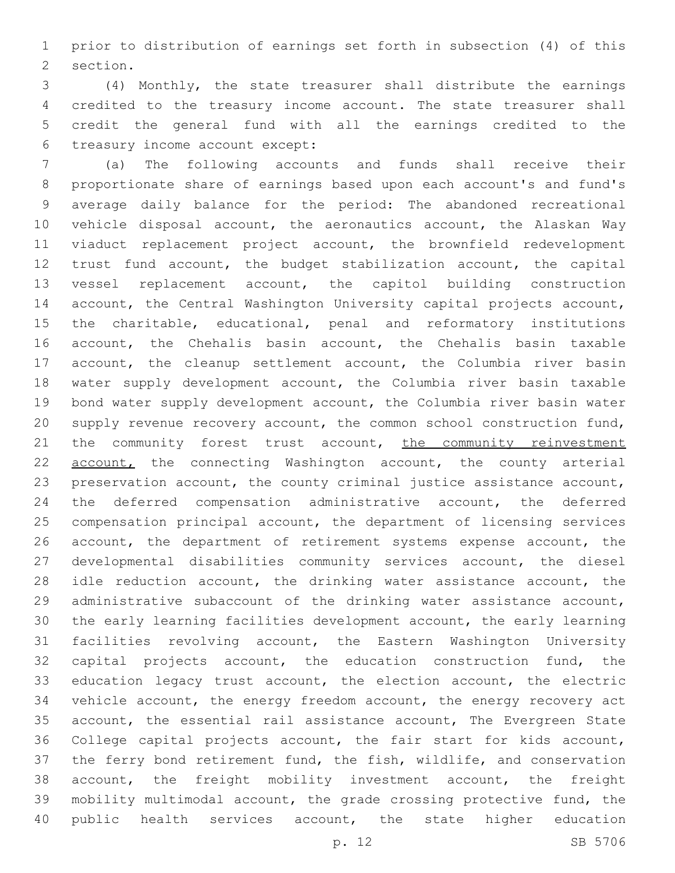prior to distribution of earnings set forth in subsection (4) of this 2 section.

 (4) Monthly, the state treasurer shall distribute the earnings credited to the treasury income account. The state treasurer shall credit the general fund with all the earnings credited to the 6 treasury income account except:

 (a) The following accounts and funds shall receive their proportionate share of earnings based upon each account's and fund's average daily balance for the period: The abandoned recreational vehicle disposal account, the aeronautics account, the Alaskan Way viaduct replacement project account, the brownfield redevelopment trust fund account, the budget stabilization account, the capital vessel replacement account, the capitol building construction account, the Central Washington University capital projects account, the charitable, educational, penal and reformatory institutions account, the Chehalis basin account, the Chehalis basin taxable 17 account, the cleanup settlement account, the Columbia river basin water supply development account, the Columbia river basin taxable bond water supply development account, the Columbia river basin water supply revenue recovery account, the common school construction fund, 21 the community forest trust account, the community reinvestment account, the connecting Washington account, the county arterial preservation account, the county criminal justice assistance account, the deferred compensation administrative account, the deferred compensation principal account, the department of licensing services account, the department of retirement systems expense account, the developmental disabilities community services account, the diesel idle reduction account, the drinking water assistance account, the administrative subaccount of the drinking water assistance account, the early learning facilities development account, the early learning facilities revolving account, the Eastern Washington University capital projects account, the education construction fund, the education legacy trust account, the election account, the electric vehicle account, the energy freedom account, the energy recovery act account, the essential rail assistance account, The Evergreen State College capital projects account, the fair start for kids account, the ferry bond retirement fund, the fish, wildlife, and conservation account, the freight mobility investment account, the freight mobility multimodal account, the grade crossing protective fund, the 40 public health services account, the state higher education

p. 12 SB 5706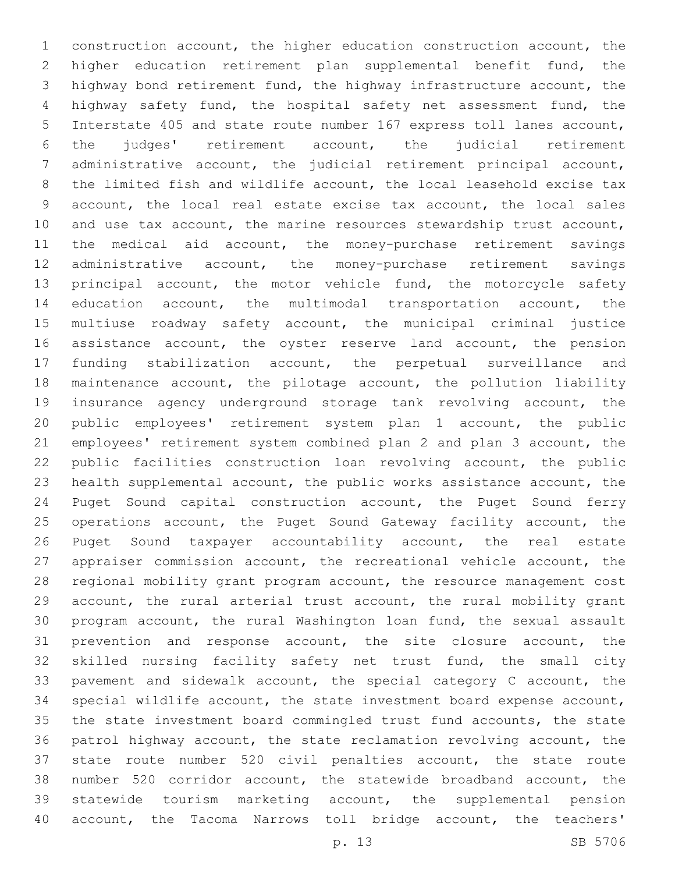construction account, the higher education construction account, the higher education retirement plan supplemental benefit fund, the highway bond retirement fund, the highway infrastructure account, the highway safety fund, the hospital safety net assessment fund, the Interstate 405 and state route number 167 express toll lanes account, the judges' retirement account, the judicial retirement administrative account, the judicial retirement principal account, the limited fish and wildlife account, the local leasehold excise tax account, the local real estate excise tax account, the local sales and use tax account, the marine resources stewardship trust account, the medical aid account, the money-purchase retirement savings administrative account, the money-purchase retirement savings 13 principal account, the motor vehicle fund, the motorcycle safety education account, the multimodal transportation account, the multiuse roadway safety account, the municipal criminal justice 16 assistance account, the oyster reserve land account, the pension funding stabilization account, the perpetual surveillance and maintenance account, the pilotage account, the pollution liability insurance agency underground storage tank revolving account, the public employees' retirement system plan 1 account, the public employees' retirement system combined plan 2 and plan 3 account, the public facilities construction loan revolving account, the public health supplemental account, the public works assistance account, the Puget Sound capital construction account, the Puget Sound ferry 25 operations account, the Puget Sound Gateway facility account, the Puget Sound taxpayer accountability account, the real estate appraiser commission account, the recreational vehicle account, the regional mobility grant program account, the resource management cost account, the rural arterial trust account, the rural mobility grant program account, the rural Washington loan fund, the sexual assault prevention and response account, the site closure account, the skilled nursing facility safety net trust fund, the small city pavement and sidewalk account, the special category C account, the special wildlife account, the state investment board expense account, the state investment board commingled trust fund accounts, the state patrol highway account, the state reclamation revolving account, the state route number 520 civil penalties account, the state route number 520 corridor account, the statewide broadband account, the statewide tourism marketing account, the supplemental pension account, the Tacoma Narrows toll bridge account, the teachers'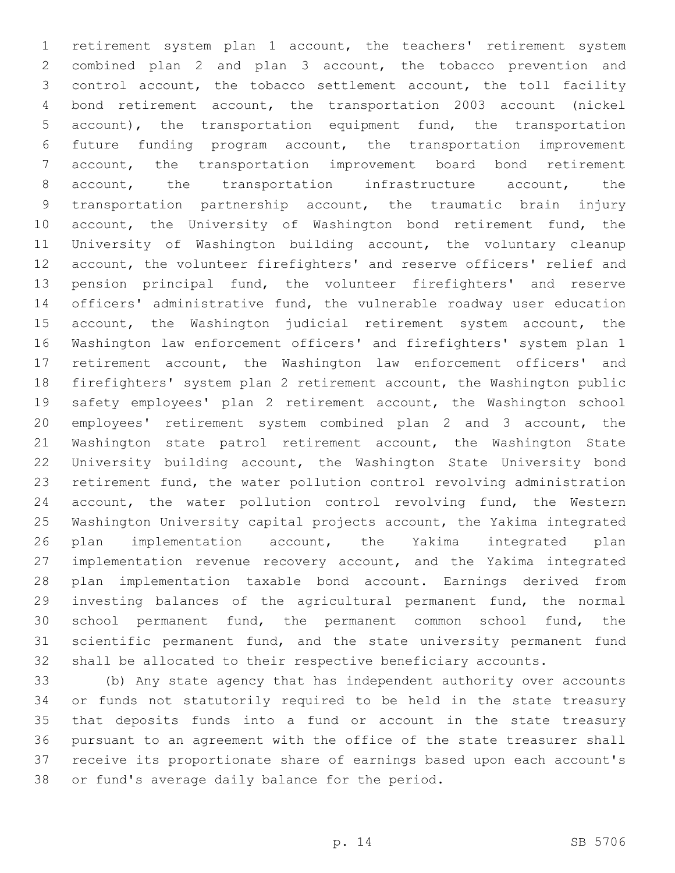retirement system plan 1 account, the teachers' retirement system combined plan 2 and plan 3 account, the tobacco prevention and control account, the tobacco settlement account, the toll facility bond retirement account, the transportation 2003 account (nickel account), the transportation equipment fund, the transportation future funding program account, the transportation improvement account, the transportation improvement board bond retirement account, the transportation infrastructure account, the transportation partnership account, the traumatic brain injury 10 account, the University of Washington bond retirement fund, the University of Washington building account, the voluntary cleanup account, the volunteer firefighters' and reserve officers' relief and pension principal fund, the volunteer firefighters' and reserve officers' administrative fund, the vulnerable roadway user education 15 account, the Washington judicial retirement system account, the Washington law enforcement officers' and firefighters' system plan 1 retirement account, the Washington law enforcement officers' and firefighters' system plan 2 retirement account, the Washington public safety employees' plan 2 retirement account, the Washington school employees' retirement system combined plan 2 and 3 account, the 21 Washington state patrol retirement account, the Washington State University building account, the Washington State University bond retirement fund, the water pollution control revolving administration 24 account, the water pollution control revolving fund, the Western Washington University capital projects account, the Yakima integrated plan implementation account, the Yakima integrated plan implementation revenue recovery account, and the Yakima integrated plan implementation taxable bond account. Earnings derived from investing balances of the agricultural permanent fund, the normal school permanent fund, the permanent common school fund, the scientific permanent fund, and the state university permanent fund shall be allocated to their respective beneficiary accounts.

 (b) Any state agency that has independent authority over accounts or funds not statutorily required to be held in the state treasury that deposits funds into a fund or account in the state treasury pursuant to an agreement with the office of the state treasurer shall receive its proportionate share of earnings based upon each account's 38 or fund's average daily balance for the period.